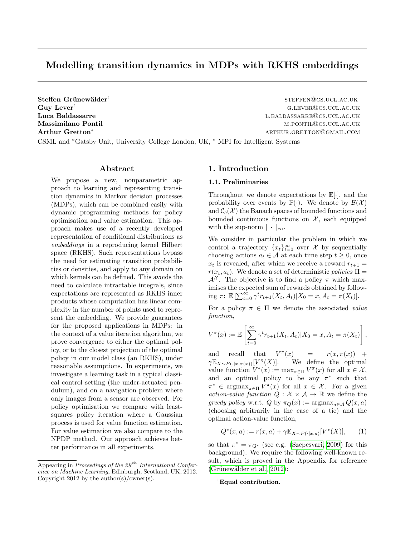# Modelling transition dynamics in MDPs with RKHS embeddings

 $Steffen$  Grünewälder<sup>1</sup>

steffen@cs.ucl.ac.uk  $G_{\text{UV}}$  Lever<sup>1</sup> g.l.ever<sub>2</sub> g.l.ever<sub>2</sub> g.l.ever<sub>2</sub> g.l.ever<sub>2</sub> g.l.ever<sub>2</sub> g.l.ever<sub>2</sub> g.l.ever<sub>2</sub> g.l.ever<sub>2</sub> g.l.ever<sub>2</sub> g.l.ever<sub>2</sub> g.l.ever<sub>2</sub> g.l.ever<sub>2</sub> g.l.ever<sub>2</sub> g.l.ever<sub>2</sub> g.l.ever<sub>2</sub> g.l.ever<sub>2</sub> g.l.ever<sub>2</sub> Luca Baldassarre la baldassarre la controllata de la baldassarre de la baldassarre la baldassarre de la baldas Massimilano Pontil metals and the metals of the metals of the metals of the metals of the metals of the metals  $M.PONTL@CS.UCL.AC.UK$ Arthur Gretton\* arthur Gretton∗ arthur.gretton∞ arthur.gretton∞ arthur.gretton∞ arthur.com

CSML and <sup>∗</sup>Gatsby Unit, University College London, UK, <sup>∗</sup> MPI for Intelligent Systems

### Abstract

We propose a new, nonparametric approach to learning and representing transition dynamics in Markov decision processes (MDPs), which can be combined easily with dynamic programming methods for policy optimisation and value estimation. This approach makes use of a recently developed representation of conditional distributions as embeddings in a reproducing kernel Hilbert space (RKHS). Such representations bypass the need for estimating transition probabilities or densities, and apply to any domain on which kernels can be defined. This avoids the need to calculate intractable integrals, since expectations are represented as RKHS inner products whose computation has linear complexity in the number of points used to represent the embedding. We provide guarantees for the proposed applications in MDPs: in the context of a value iteration algorithm, we prove convergence to either the optimal policy, or to the closest projection of the optimal policy in our model class (an RKHS), under reasonable assumptions. In experiments, we investigate a learning task in a typical classical control setting (the under-actuated pendulum), and on a navigation problem where only images from a sensor are observed. For policy optimisation we compare with leastsquares policy iteration where a Gaussian process is used for value function estimation. For value estimation we also compare to the NPDP method. Our approach achieves better performance in all experiments.

# <span id="page-0-0"></span>1. Introduction

#### 1.1. Preliminaries

Throughout we denote expectations by  $\mathbb{E}[\cdot]$ , and the probability over events by  $\mathbb{P}(\cdot)$ . We denote by  $\mathcal{B}(\mathcal{X})$ and  $\mathcal{C}_b(\mathcal{X})$  the Banach spaces of bounded functions and bounded continuous functions on  $X$ , each equipped with the sup-norm  $|| \cdot ||_{\infty}$ .

We consider in particular the problem in which we control a trajectory  $\{x_t\}_{t=0}^{\infty}$  over X by sequentially choosing actions  $a_t \in \mathcal{A}$  at each time step  $t \geq 0$ , once  $x_t$  is revealed, after which we receive a reward  $r_{t+1} =$  $r(x_t, a_t)$ . We denote a set of deterministic policies  $\Pi$  =  $\mathcal{A}^{\mathcal{X}}$ . The objective is to find a policy  $\pi$  which maximises the expected sum of rewards obtained by following  $\pi: \mathbb{E}\left[\sum_{t=0}^{\infty} \gamma^t r_{t+1}(X_t, A_t)| X_0 = x, A_t = \pi(X_t)\right].$ 

For a policy  $\pi \in \Pi$  we denote the associated value function,

$$
V^{\pi}(x) := \mathbb{E}\left[\sum_{t=0}^{\infty} \gamma^{t} r_{t+1}(X_{t}, A_{t}) | X_{0} = x, A_{t} = \pi(X_{t})\right],
$$

and recall that  $V^{\pi}$  $r(x, \pi(x)) +$  $\gamma \mathbb{E}_{X \sim P(\cdot | x, \pi(x))}[V^{\pi}]$ We define the optimal value function  $V^*(x) := \max_{\pi \in \Pi} V^{\pi}(x)$  for all  $x \in \mathcal{X}$ , and an optimal policy to be any  $\pi^*$  such that  $\pi^* \in \operatorname{argmax}_{\pi \in \Pi} V^{\pi}(x)$  for all  $x \in \mathcal{X}$ . For a given action-value function  $Q: \mathcal{X} \times \mathcal{A} \rightarrow \mathbb{R}$  we define the greedy policy w.r.t. Q by  $\pi_Q(x) := \text{argmax}_{a \in \mathcal{A}} Q(x, a)$ (choosing arbitrarily in the case of a tie) and the optimal action-value function,

<span id="page-0-1"></span>
$$
Q^*(x, a) := r(x, a) + \gamma \mathbb{E}_{X \sim P(\cdot | x, a)}[V^*(X)], \qquad (1)
$$

so that  $\pi^* = \pi_{Q^*}$  (see e.g. [\(Szepesvari, 2009\)](#page-7-0) for this background). We require the following well-known result, which is proved in the Appendix for reference  $(Grünewälder et al., 2012):$ 

Appearing in Proceedings of the  $29<sup>th</sup> International Confer$ ence on Machine Learning, Edinburgh, Scotland, UK, 2012. Copyright 2012 by the author(s)/owner(s).

 ${}^{1}$ Equal contribution.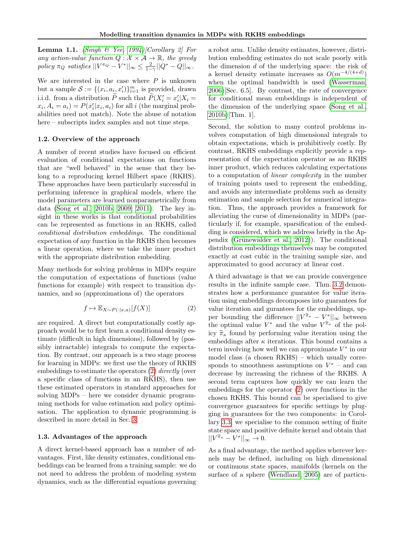<span id="page-1-1"></span>**Lemma 1.1.** [\(Singh & Yee, 1994\)](#page-7-2)[Corollary 2] For any action-value function  $Q : \mathcal{X} \times \mathcal{A} \rightarrow \mathbb{R}$ , the greedy policy  $\pi_Q$  satisfies  $||V^{\pi_Q} - V^*||_{\infty} \le \frac{2}{1-\gamma} ||Q^* - Q||_{\infty}$ .

We are interested in the case where  $P$  is unknown but a sample  $S := \{(x_i, a_i, x'_i)\}_{i=1}^m$  is provided, drawn i.i.d. from a distribution  $\widetilde{P}$  such that  $\widetilde{P}(X'_i = x'_i | X_i =$  $x_i, A_i = a_i$ ) =  $P(x'_i | x_i, a_i)$  for all i (the marginal probabilities need not match). Note the abuse of notation here – subscripts index samples and not time steps.

#### 1.2. Overview of the approach

A number of recent studies have focused on efficient evaluation of conditional expectations on functions that are "well behaved" in the sense that they belong to a reproducing kernel Hilbert space (RKHS). These approaches have been particularly successful in performing inference in graphical models, where the model parameters are learned nonparametrically from data [\(Song et al., 2010b;](#page-7-3) [2009;](#page-7-4) [2011\)](#page-7-5). The key insight in these works is that conditional probabilities can be represented as functions in an RKHS, called conditional distribution embeddings. The conditional expectation of any function in the RKHS then becomes a linear operation, where we take the inner product with the appropriate distribution embedding.

Many methods for solving problems in MDPs require the computation of expectations of functions (value functions for example) with respect to transition dynamics, and so (approximations of) the operators

$$
f \mapsto \mathbb{E}_{X \sim P(\cdot | x, a)}[f(X)] \tag{2}
$$

are required. A direct but computationally costly approach would be to first learn a conditional density estimate (difficult in high dimensions), followed by (possibly intractable) integrals to compute the expectation. By contrast, our approach is a two stage process for learning in MDPs: we first use the theory of RKHS embeddings to estimate the operators [\(2\)](#page-1-0) directly (over a specific class of functions in an RKHS), then use these estimated operators in standard approaches for solving MDPs – here we consider dynamic programming methods for value estimation and policy optimisation. The application to dynamic programming is described in more detail in Sec. [3.](#page-3-0)

# 1.3. Advantages of the approach

A direct kernel-based approach has a number of advantages. First, like density estimates, conditional embeddings can be learned from a training sample: we do not need to address the problem of modeling system dynamics, such as the differential equations governing

a robot arm. Unlike density estimates, however, distribution embedding estimates do not scale poorly with the dimension  $d$  of the underlying space: the risk of a kernel density estimate increases as  $O(m^{-4/(4+d)})$ when the optimal bandwidth is used [\(Wasserman,](#page-7-6) [2006\)](#page-7-6)[Sec. 6.5]. By contrast, the rate of convergence for conditional mean embeddings is independent of the dimension of the underlying space [\(Song et al.,](#page-7-3) [2010b\)](#page-7-3)[Thm. 1].

Second, the solution to many control problems involves computation of high dimensional integrals to obtain expectations, which is prohibitively costly. By contrast, RKHS embeddings explicitly provide a representation of the expectation operator as an RKHS inner product, which reduces calculating expectations to a computation of linear complexity in the number of training points used to represent the embedding, and avoids any intermediate problems such as density estimation and sample selection for numerical integration. Thus, the approach provides a framework for alleviating the curse of dimensionality in MDPs (particularly if, for example, sparsification of the embedding is considered, which we address briefly in the Appendix (Grünewälder et al.,  $2012$ ). The conditional distribution embeddings themselves may be computed exactly at cost cubic in the training sample size, and approximated to good accuracy at linear cost.

<span id="page-1-0"></span>A third advantage is that we can provide convergence results in the infinite sample case. Thm. [3.2](#page-4-0) demonstrates how a performance guarantee for value iteration using embeddings decomposes into guarantees for value iteration and gurantees for the embeddings, upper bounding the difference  $||V^{\hat{\pi}_{\kappa}} - V^*||_{\infty}$  between the optimal value  $V^*$  and the value  $V^{\hat{\pi}_{\kappa}}$  of the policy  $\hat{\pi}_{\kappa}$  found by performing value iteration using the embeddings after  $\kappa$  iterations. This bound contains a term involving how well we can approximate  $V^*$  in our model class (a chosen RKHS) – which usually corresponds to smoothness assumptions on  $V^*$  – and can decrease by increasing the richness of the RKHS. A second term captures how quickly we can learn the embeddings for the operator [\(2\)](#page-1-0) over functions in the chosen RKHS. This bound can be specialised to give convergence guarantees for specific settings by plugging in guarantees for the two components: in Corollary [3.3,](#page-4-1) we specialise to the common setting of finite state space and positive definite kernel and obtain that  $||V^{\widehat{\pi}_{\kappa}} - V^*||_{\infty} \to 0.$ 

As a final advantage, the method applies wherever kernels may be defined, including on high dimensional or continuous state spaces, manifolds (kernels on the surface of a sphere [\(Wendland, 2005\)](#page-7-7) are of particu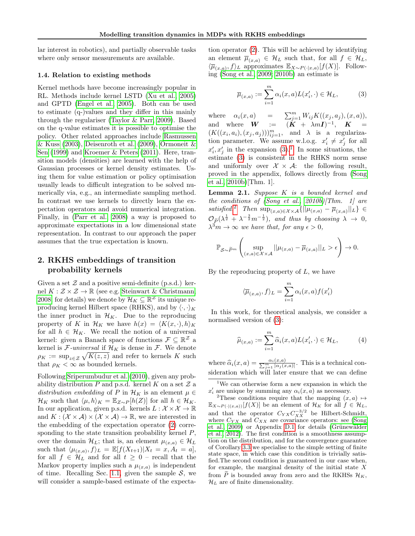lar interest in robotics), and partially observable tasks where only sensor measurements are available.

### 1.4. Relation to existing methods

Kernel methods have become increasingly popular in RL. Methods include kernel LSTD [\(Xu et al., 2005\)](#page-7-8) and GPTD [\(Engel et al., 2005\)](#page-7-9). Both can be used to estimate (q-)values and they differ in this mainly through the regulariser [\(Taylor & Parr, 2009\)](#page-7-10). Based on the q-value estimates it is possible to optimise the policy. Other related approaches include [Rasmussen](#page-7-11)  $\&$  Kuss [\(2003\)](#page-7-11), [Deisenroth et al.](#page-7-12) [\(2009\)](#page-7-12), Ormoneit  $\&$ [Sen](#page-7-13) [\(1999\)](#page-7-13) and [Kroemer & Peters](#page-7-14) [\(2011\)](#page-7-14). Here, transition models (densities) are learned with the help of Gaussian processes or kernel density estimates. Using them for value estimation or policy optimisation usually leads to difficult integration to be solved numerically via, e.g., an intermediate sampling method. In contrast we use kernels to directly learn the expectation operators and avoid numerical integration. Finally, in [\(Parr et al., 2008\)](#page-7-15) a way is proposed to approximate expectations in a low dimensional state representation. In contrast to our approach the paper assumes that the true expectation is known.

# 2. RKHS embeddings of transition probability kernels

Given a set  $\mathcal Z$  and a positive semi-definite (p.s.d.) kernel  $K : \mathcal{Z} \times \mathcal{Z} \to \mathbb{R}$  (see e.g. [Steinwart & Christmann,](#page-7-16) [2008,](#page-7-16) for details) we denote by  $\mathcal{H}_K \subseteq \mathbb{R}^{\mathcal{Z}}$  its unique reproducing kernel Hilbert space (RHKS), and by  $\langle \cdot, \cdot \rangle_K$ the inner product in  $\mathcal{H}_K$ . Due to the reproducing property of K in  $\mathcal{H}_K$  we have  $h(x) = \langle K(x, \cdot), h \rangle_K$ for all  $h \in \mathcal{H}_K$ . We recall the notion of a universal kernel: given a Banach space of functions  $\mathcal{F} \subseteq \mathbb{R}^{\mathcal{Z}}$  a kernel is  $\mathcal{F}\text{-}universal$  if  $\mathcal{H}_K$  is dense in  $\mathcal{F}$ . We denote  $\rho_K := \sup_{z \in \mathcal{Z}} \sqrt{K(z, z)}$  and refer to kernels K such that  $\rho_K < \infty$  as bounded kernels.

Following [Sriperumbudur et al.](#page-7-17) [\(2010\)](#page-7-17), given any probability distribution  $P$  and p.s.d. kernel  $K$  on a set  $\mathcal Z$  a distribution embedding of P in  $\mathcal{H}_K$  is an element  $\mu \in$  $\mathcal{H}_K$  such that  $\langle \mu, h \rangle_K = \mathbb{E}_{Z \sim P} [h(Z)]$  for all  $h \in \mathcal{H}_K$ . In our application, given p.s.d. kernels  $L : \mathcal{X} \times \mathcal{X} \to \mathbb{R}$ and  $K : (\mathcal{X} \times \mathcal{A}) \times (\mathcal{X} \times \mathcal{A}) \rightarrow \mathbb{R}$ , we are interested in the embedding of the expectation operator [\(2\)](#page-1-0) corresponding to the state transition probability kernel  $P$ , over the domain  $\mathcal{H}_L$ ; that is, an element  $\mu_{(x,a)} \in \mathcal{H}_L$ such that  $\langle \mu_{(x,a)}, f \rangle_L = \mathbb{E}[f(X_{t+1})|X_t = x, A_t = a],$ for all  $f \in \mathcal{H}_L$  and for all  $t \geq 0$  – recall that the Markov property implies such a  $\mu_{(x,a)}$  is independent of time. Recalling Sec. [1.1,](#page-0-0) given the sample  $\mathcal{S}$ , we will consider a sample-based estimate of the expecta-

tion operator [\(2\)](#page-1-0). This will be achieved by identifying an element  $\overline{\mu}_{(x,a)} \in \mathcal{H}_L$  such that, for all  $f \in \mathcal{H}_L$ ,  $\langle \overline{\mu}_{(x,a)}, f \rangle_L$  approximates  $\mathbb{E}_{X \sim P(\cdot | x, a)}[f(X)]$ . Following [\(Song et al., 2009;](#page-7-4) [2010b\)](#page-7-3) an estimate is

<span id="page-2-0"></span>
$$
\overline{\mu}_{(x,a)} := \sum_{i=1}^{m} \alpha_i(x,a) L(x'_i, \cdot) \in \mathcal{H}_L, \tag{3}
$$

where  $\alpha_i(x, a)$  =  $\sum_{j=1}^m W_{ij} K((x_j, a_j), (x, a)),$ and where  $\boldsymbol{W}$  :=  $(\boldsymbol{K} + \lambda m\boldsymbol{I})^{-1}$ ,  $\boldsymbol{K}$  =  $(K((x_i, a_i), (x_j, a_j)))_{ij=1}^m$ , and  $\lambda$  is a regularization parameter. We assume w.l.o.g.  $x'_i \neq x'_j$  for all  $x'_i, x'_j$  in the expansion [\(3\)](#page-2-0).<sup>[1](#page-2-1)</sup> In some situations, the estimate [\(3\)](#page-2-0) is consistent in the RHKS norm sense and uniformly over  $\mathcal{X} \times \mathcal{A}$ : the following result, proved in the appendix, follows directly from [\(Song](#page-7-3) [et al., 2010b\)](#page-7-3)[Thm. 1].

<span id="page-2-4"></span>Lemma 2.1. Suppose K is a bounded kernel and the conditions of  $(Song et al., 2010b)/Thm.$  $(Song et al., 2010b)/Thm.$  1] are satisfied.<sup>[2](#page-2-2)</sup> Then  $\sup_{(x,a)\in\mathcal{X}\times\mathcal{A}}\{\|\mu_{(x,a)}-\overline{\mu}_{(x,a)}\|_{L}\}\in$  $\mathcal{O}_{\widetilde{P}}(\lambda^{\frac{1}{2}} + \lambda^{-\frac{3}{2}}m^{-\frac{1}{2}})$ , and thus by choosing  $\lambda \to 0$ ,  $\lambda^3 m \to \infty$  we have that, for any  $\epsilon > 0$ ,

$$
\mathbb{P}_{\mathcal{S}\sim \widetilde{P}^m}\left(\sup_{(x,a)\in\mathcal{X}\times\mathcal{A}}||\mu_{(x,a)}-\overline{\mu}_{(x,a)}||_L>\epsilon\right)\to 0.
$$

By the reproducing property of  $L$ , we have

$$
\langle \overline{\mu}_{(x,a)}, f \rangle_L = \sum_{i=1}^m \alpha_i(x,a) f(x_i')
$$

In this work, for theoretical analysis, we consider a normalised version of [\(3\)](#page-2-0):

<span id="page-2-3"></span>
$$
\widehat{\mu}_{(x,a)} := \sum_{i=1}^{m} \widehat{\alpha}_i(x,a) L(x'_i, \cdot) \in \mathcal{H}_L, \tag{4}
$$

where  $\widehat{\alpha}_i(x, a) = \frac{\alpha_i(x, a)}{\sum_{j=1}^m |\alpha_j(x, a)|}$ . This is a technical consideration which will later ensure that we can define

<span id="page-2-1"></span><sup>1</sup>We can otherwise form a new expansion in which the  $x'_{i}$  are unique by summing any  $\alpha_{i}(x, a)$  as necessary.

<span id="page-2-2"></span><sup>&</sup>lt;sup>2</sup>These conditions require that the mapping  $(x, a) \mapsto$  $\mathbb{E}_{X\sim P(\cdot|(x,a))}[f(X)]$  be an element of  $\mathcal{H}_K$  for all  $f \in \mathcal{H}_L$ , and that the operator  $C_{YX} C_{XX}^{-3/2}$  be Hilbert-Schmidt, where  $C_{YX}$  and  $C_{XX}$  are covariance operators: see [\(Song](#page-7-4) [et al., 2009\)](#page-7-4) or Appendix [D.1](#page-12-0) for details (Grünewälder [et al., 2012\)](#page-7-1). The first condition is a smoothness assumption on the distribution, and for the convergence guarantee of Corollary [3.3](#page-4-1) we specialise to the simple setting of finite state space, in which case this condition is trivially satisfied.The second condition is guaranteed in our case when, for example, the marginal density of the initial state  $X$ from P is bounded away from zero and the RKHSs  $\mathcal{H}_K$ ,  $\mathcal{H}_L$  are of finite dimensionality.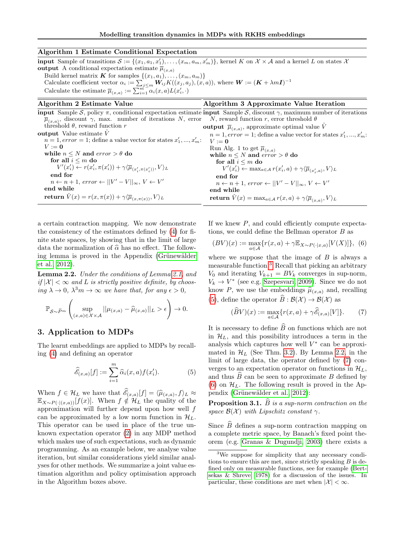# Algorithm 1 Estimate Conditional Expectation

**input** Sample of transitions  $S := \{(x_1, a_1, x_1'), \ldots, (x_m, a_m, x_m')\}$ , kernel K on  $X \times A$  and a kernel L on states  $X$ output A conditional expectation estimate  $\overline{\mu}_{(x,a)}$ Build kernel matrix **K** for samples  $\{(x_1, a_1), \ldots, (x_m, a_m)\}\$ Calculate coefficient vector  $\alpha_i := \sum_{j \leq m} W_{ij} K((x_j, a_j), (x, a))$ , where  $W := (K + \lambda mI)^{-1}$ Calculate the estimate  $\overline{\mu}_{(x,a)} := \sum_{i=1}^{m} \alpha_i(x,a) L(x'_i, \cdot)$ Algorithm 2 Estimate Value Algorithm 3 Approximate Value Iteration

#### **input** Sample S, policy  $\pi$ , conditional expectation estimate **input** Sample S, discount  $\gamma$ , maximum number of iterations  $\overline{\mu}_{(x,a)}$ , discount  $\gamma$ , max. number of iterations N, error threshold  $\theta$ , reward function r output Value estimate  $\hat{V}$  $n = 1$ , error = 1; define a value vector for states  $x'_1, ..., x'_m$ :  $V := 0$ while  $n \leq N$  and  $error > \theta$  do for all  $i \leq m$  do  $V'(x'_i) \leftarrow r(x'_i, \pi(x'_i)) + \gamma \langle \overline{\mu}_{(x'_i, \pi(x'_i))}, V \rangle_L$ end for  $n \leftarrow n+1, \text{ error} \leftarrow ||V' - V||_{\infty}, V \leftarrow V'$ end while return  $\hat{V}(x) = r(x, \pi(x)) + \gamma \langle \overline{\mu}_{(x, \pi(x))}, V \rangle_L$ N, reward function r, error threshold  $\theta$ output  $\bar{\mu}_{(x,a)}$ , approximate optimal value  $\hat{V}$  $n = 1, error = 1$ ; define a value vector for states  $x'_1, ..., x'_m$ :  $V := 0$ Run Alg. 1 to get  $\overline{\mu}_{(x,a)}$ while  $n \leq N$  and  $\text{error} > \theta$  do for all  $i \leq m$  do  $V'(x'_i) \leftarrow \max_{a \in \mathcal{A}} r(x'_i, a) + \gamma \langle \overline{\mu}_{(x'_i, a)}, V \rangle_L$ end for  $n \leftarrow n+1$ , error  $\leftarrow ||V' - V||_{\infty}, V \leftarrow V'$ end while  $\textbf{return} \; \hat{V}(x) = \max_{a \in \mathcal{A}} r(x,a) + \gamma \langle \overline{\mu}_{(x,a)}, V \rangle_L$

a certain contraction mapping. We now demonstrate the consistency of the estimators defined by [\(4\)](#page-2-3) for finite state spaces, by showing that in the limit of large data the normalization of  $\hat{\alpha}$  has no effect. The following lemma is proved in the Appendix (Grünewälder [et al., 2012\)](#page-7-1).

<span id="page-3-3"></span>Lemma 2.2. Under the conditions of Lemma [2.1,](#page-2-4) and if  $|\mathcal{X}| < \infty$  and L is strictly positive definite, by choosing  $\lambda \to 0$ ,  $\lambda^3 m \to \infty$  we have that, for any  $\epsilon > 0$ ,

$$
\mathbb{P}_{\mathcal{S}\sim \widetilde{P}^m}\left(\sup_{(x,a)\in\mathcal{X}\times\mathcal{A}}||\mu_{(x,a)}-\widehat{\mu}_{(x,a)}||_L>\epsilon\right)\to 0.
$$

# <span id="page-3-0"></span>3. Application to MDPs

The learnt embeddings are applied to MDPs by recalling [\(4\)](#page-2-3) and defining an operator

$$
\widehat{\mathscr{E}}_{(x,a)}[f] := \sum_{i=1}^{m} \widehat{\alpha}_i(x,a) f(x_i'). \tag{5}
$$

When  $f \in \mathcal{H}_L$  we have that  $\mathscr{E}_{(x,a)}[f] = \langle \hat{\mu}_{(x,a)}, f \rangle_L \approx$ <br> $\mathbb{F}_{\text{max}} = \mathbb{F}_{(x,a)}[f(x)]$ . When  $f \notin \mathcal{H}_L$ , the quality of the  $\mathbb{E}_{X\sim P(\cdot|(x,a))}[f(x)]$ . When  $f \notin \mathcal{H}_L$  the quality of the approximation will further depend upon how well  $f$ can be approximated by a low norm function in  $\mathcal{H}_L$ . This operator can be used in place of the true unknown expectation operator [\(2\)](#page-1-0) in any MDP method which makes use of such expectations, such as dynamic programming. As an example below, we analyse value iteration, but similar considerations yield similar analyses for other methods. We summarize a joint value estimation algorithm and policy optimisation approach in the Algorithm boxes above.

If we knew  $P$ , and could efficiently compute expectations, we could define the Bellman operator B as

<span id="page-3-5"></span>
$$
(BV)(x):=\max_{a\in\mathcal{A}}\{r(x,a)+\gamma\mathbb{E}_{X\sim P(\cdot|x,a)}[V(X)]\},\tag{6}
$$

where we suppose that the image of  $B$  is always a measurable function.[3](#page-3-1) Recall that picking an arbitrary  $V_0$  and iterating  $V_{k+1} = BV_k$  converges in sup-norm,  $V_k \rightarrow V^*$  (see e.g. [Szepesvari, 2009\)](#page-7-0). Since we do not know P, we use the embeddings  $\hat{\mu}_{(x,a)}$  and, recalling [\(5\)](#page-3-2), define the operator  $\widehat{B}: \mathcal{B}(\mathcal{X}) \to \mathcal{B}(\mathcal{X})$  as

<span id="page-3-4"></span>
$$
(\widehat{B}V)(x) := \max_{a \in \mathcal{A}} \{r(x, a) + \gamma \widehat{\mathscr{E}}_{(x, a)}[V]\}.
$$
 (7)

It is necessary to define  $\widehat{B}$  on functions which are not in  $\mathcal{H}_L$ , and this possibility introduces a term in the analysis which captures how well  $V^*$  can be approximated in  $\mathcal{H}_L$  (See Thm. [3.2\)](#page-4-0). By Lemma [2.2,](#page-3-3) in the limit of large data, the operator defined by [\(7\)](#page-3-4) converges to an expectation operator on functions in  $\mathcal{H}_L$ , and thus  $\ddot{B}$  can be seen to approximate  $B$  defined by [\(6\)](#page-3-5) on  $\mathcal{H}_L$ . The following result is proved in the Appendix (Grünewälder et al., 2012):

<span id="page-3-6"></span><span id="page-3-2"></span>**Proposition 3.1.**  $\widehat{B}$  is a sup-norm contraction on the space  $\mathcal{B}(\mathcal{X})$  with Lipschitz constant  $\gamma$ .

Since  $B$  defines a sup-norm contraction mapping on a complete metric space, by Banach's fixed point theorem (e.g. [Granas & Dugundji, 2003\)](#page-7-18) there exists a

<span id="page-3-1"></span><sup>&</sup>lt;sup>3</sup>We suppose for simplicity that any necessary conditions to ensure this are met, since strictly speaking  $B$  is defined only on measurable functions, see for example [\(Bert](#page-7-19)[sekas & Shreve, 1978\)](#page-7-19) for a discussion of the issues. In particular, these conditions are met when  $|\mathcal{X}| < \infty$ .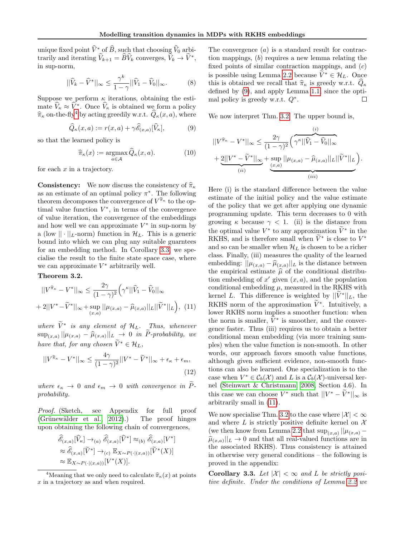unique fixed point  $\widehat{V}^*$  of  $\widehat{B}$ , such that choosing  $\widehat{V}_0$  arbitrarily and iterating  $\widehat{V}_{k+1} = \widehat{B}\widehat{V}_k$  converges,  $\widehat{V}_k \to \widehat{V}^*$ , in sup-norm,

$$
||\widehat{V}_k - \widehat{V}^*||_{\infty} \le \frac{\gamma^k}{1 - \gamma} ||\widehat{V}_1 - \widehat{V}_0||_{\infty}.
$$
 (8)

Suppose we perform  $\kappa$  iterations, obtaining the estimate  $\hat{V}_\kappa \approx \hat{V}^*$ . Once  $\hat{V}_\kappa$  is obtained we form a policy  $\hat{\pi}_{\kappa}$  on-the-fly<sup>[4](#page-4-2)</sup> by acting greedily w.r.t.  $\hat{Q}_{\kappa}(x, a)$ , where

$$
\widehat{Q}_{\kappa}(x,a) := r(x,a) + \gamma \widehat{\mathscr{E}}_{(x,a)}[\widehat{V}_{\kappa}],\tag{9}
$$

so that the learned policy is

$$
\widehat{\pi}_{\kappa}(x) := \underset{a \in \mathcal{A}}{\operatorname{argmax}} \, \widehat{Q}_{\kappa}(x, a). \tag{10}
$$

for each  $x$  in a trajectory.

**Consistency:** We now discuss the consistency of  $\hat{\pi}_{\kappa}$ as an estimate of an optimal policy  $\pi^*$ . The following theorem decomposes the convergence of  $V^{\hat{\pi}_{\kappa}}$  to the optimal value function  $V^*$ , in terms of the convergence of value iteration, the convergence of the embeddings and how well we can approximate  $V^*$  in sup-norm by a (low  $|| \cdot ||_L$ -norm) function in  $\mathcal{H}_L$ . This is a generic bound into which we can plug any suitable guarntees for an embedding method. In Corollary [3.3,](#page-4-1) we specialise the result to the finite state space case, where we can approximate  $V^*$  arbitrarily well.

<span id="page-4-0"></span>Theorem 3.2.

$$
||V^{\hat{\pi}_{\kappa}} - V^*||_{\infty} \le \frac{2\gamma}{(1-\gamma)^2} \left(\gamma^{\kappa} ||\hat{V}_1 - \hat{V}_0||_{\infty} + 2||V^* - \tilde{V}^*||_{\infty} + \sup_{(x,a)} ||\mu_{(x,a)} - \hat{\mu}_{(x,a)}||_L||\tilde{V}^*||_L\right), (11)
$$

where  $\widetilde{V}^*$  is any element of  $\mathcal{H}_L$ . Thus, whenever  $\sup_{(x,a)} ||\mu_{(x,a)} - \widehat{\mu}_{(x,a)}||_L \to 0$  in P-probability, we have that, for any chosen  $\widetilde{V}^* \in \mathcal{H}_L$ ,

$$
||V^{\widehat{\pi}_{\kappa}} - V^*||_{\infty} \le \frac{4\gamma}{(1-\gamma)^2} ||V^* - \widetilde{V}^*||_{\infty} + \epsilon_{\kappa} + \epsilon_m,
$$
\n(12)

where  $\epsilon_{\kappa} \to 0$  and  $\epsilon_m \to 0$  with convergence in  $\widetilde{P}$ probability.

Proof. (Sketch, see Appendix for full proof  $(Grünewälder et al., 2012).)$  The proof hinges upon obtaining the following chain of convergences,

$$
\widehat{\mathscr{E}}_{(x,a)}[\widehat{V}_{\kappa}] \to_{(a)} \widehat{\mathscr{E}}_{(x,a)}[\widehat{V}^*] \approx_{(b)} \widehat{\mathscr{E}}_{(x,a)}[V^*]
$$

$$
\approx \widehat{\mathscr{E}}_{(x,a)}[\widetilde{V}^*] \to_{(c)} \mathbb{E}_{X \sim P(\cdot|(x,a))}[\widetilde{V}^*(X)]
$$

$$
\approx \mathbb{E}_{X \sim P(\cdot|(x,a))}[V^*(X)].
$$

<span id="page-4-6"></span>The convergence  $(a)$  is a standard result for contraction mappings, (b) requires a new lemma relating the fixed points of similar contraction mappings, and (c) is possible using Lemma [2.2](#page-3-3) because  $\widetilde{V}^* \in \mathcal{H}_L$ . Once this is obtained we recall that  $\hat{\pi}_{\kappa}$  is greedy w.r.t.  $\hat{Q}_{\kappa}$ defined by [\(9\)](#page-4-3), and apply Lemma [1.1,](#page-1-1) since the optimal policy is greedy w.r.t.  $Q^*$ .  $\Box$ 

<span id="page-4-3"></span>We now interpret Thm. [3.2.](#page-4-0) The upper bound is,

<span id="page-4-5"></span>
$$
||V^{\hat{\pi}_{\kappa}} - V^*||_{\infty} \le \frac{2\gamma}{(1-\gamma)^2} \left(\frac{\hat{v}}{\gamma^{\kappa}||\hat{V}_1 - \hat{V}_0||_{\infty}} + \underbrace{2||V^* - \tilde{V}^*||_{\infty}}_{(ii)} + \underbrace{\sup_{(x,a)} ||\mu_{(x,a)} - \hat{\mu}_{(x,a)}||_{L}||\tilde{V}^*||_{L}}_{(iii)}\right).
$$

<span id="page-4-4"></span>Here (i) is the standard difference between the value estimate of the initial policy and the value estimate of the policy that we get after applying one dynamic programming update. This term decreases to 0 with growing  $\kappa$  because  $\gamma$  < 1. (ii) is the distance from the optimal value  $V^*$  to any approximation  $\widetilde{V}^*$  in the RKHS, and is therefore small when  $\tilde{V}^*$  is close to  $V^*$ and so can be smaller when  $\mathcal{H}_L$  is chosen to be a richer class. Finally, (iii) measures the quality of the learned embedding:  $\|\mu_{(x,a)} - \widehat{\mu}_{(x,a)}\|_{L}$  is the distance between<br>the empirical estimate  $\widehat{\mu}$  of the conditional distributhe empirical estimate  $\hat{\mu}$  of the conditional distribution embedding of  $x'$  given  $(x, a)$ , and the population conditional embedding  $\mu$ , measured in the RKHS with kernel L. This difference is weighted by  $||\widetilde{V}^*||_L$ , the RKHS norm of the approximation  $\tilde{V}^*$ . Intuitively, a lower RKHS norm implies a smoother function: when the norm is smaller,  $\tilde{V}^*$  is smoother, and the convergence faster. Thus (iii) requires us to obtain a better conditional mean embedding (via more training samples) when the value function is non-smooth. In other words, our approach favors smooth value functions, although given sufficient evidence, non-smooth functions can also be learned. One specialization is to the case when  $V^* \in \mathcal{C}_b(\mathcal{X})$  and L is a  $\mathcal{C}_b(\mathcal{X})$ -universal kernel [\(Steinwart & Christmann, 2008,](#page-7-16) Section 4.6). In this case we can choose  $\tilde{V}^*$  such that  $||V^* - \tilde{V}^*||_{\infty}$  is arbitrarily small in [\(11\)](#page-4-4).

<span id="page-4-7"></span>We now specialise Thm. [3.2](#page-4-0) to the case where  $|\mathcal{X}| < \infty$ and where L is strictly positive definite kernel on  $\mathcal{X}$ (we then know from Lemma [2.2](#page-3-3) that  $\sup_{(x,a)}$   $||\mu_{(x,a)} \hat{\mu}_{(x,a)}||_L \to 0$  and that all real-valued functions are in<br>the associated PKHS). Thus consistency is attained the associated RKHS). Thus consistency is attained in otherwise very general conditions – the following is proved in the appendix:

<span id="page-4-1"></span>Corollary 3.3. Let  $|\mathcal{X}| < \infty$  and L be strictly positive definite. Under the conditions of Lemma [2.2](#page-3-3) we

<span id="page-4-2"></span><sup>&</sup>lt;sup>4</sup>Meaning that we only need to calculate  $\hat{\pi}_{\kappa}(x)$  at points x in a trajectory as and when required.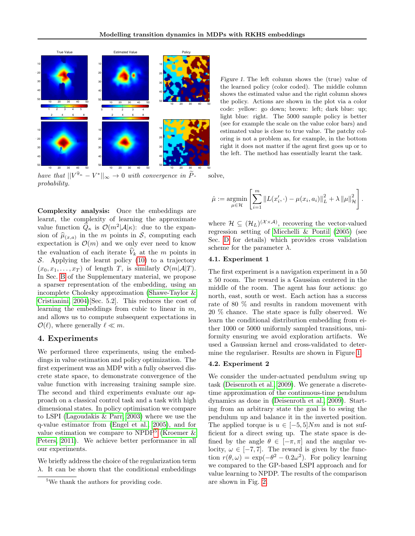

have that  $||V^{\hat{\pi}_{\kappa}} - V^*||_{\infty} \to 0$  with convergence in  $\tilde{P}$ probability.

Complexity analysis: Once the embeddings are learnt, the complexity of learning the approximate value function  $\hat{Q}_{\kappa}$  is  $\mathcal{O}(m^2|\mathcal{A}|\kappa)$ : due to the expansion of  $\hat{\mu}_{(x,a)}$  in the m points in S, computing each exponential  $\hat{\mu}_{(x,a)}$  in the move points are need to know expectation is  $\mathcal{O}(m)$  and we only ever need to know the evaluation of each iterate  $V_k$  at the m points in S. Applying the learnt policy  $(10)$  to a trajectory  $(x_0, x_1, \ldots, x_T)$  of length T, is similarly  $\mathcal{O}(m|\mathcal{A}|T)$ . In Sec. [B](#page-8-0) of the Supplementary material, we propose a sparser representation of the embedding, using an incomplete Cholesky approximation [\(Shawe-Taylor &](#page-7-20) [Cristianini, 2004\)](#page-7-20)[Sec. 5.2]. This reduces the cost of learning the embeddings from cubic to linear in  $m$ , and allows us to compute subsequent expectations in  $\mathcal{O}(\ell)$ , where generally  $\ell \ll m$ .

# 4. Experiments

We performed three experiments, using the embeddings in value estimation and policy optimization. The first experiment was an MDP with a fully observed discrete state space, to demonstrate convergence of the value function with increasing training sample size. The second and third experiments evaluate our approach on a classical control task and a task with high dimensional states. In policy optimisation we compare to LSPI [\(Lagoudakis & Parr, 2003\)](#page-7-21) where we use the q-value estimator from [\(Engel et al., 2005\)](#page-7-9), and for value estimation we compare to NPDP<sup>[5](#page-5-0)</sup> (Kroemer  $\&$ [Peters, 2011\)](#page-7-14). We achieve better performance in all our experiments.

We briefly address the choice of the regularization term  $\lambda$ . It can be shown that the conditional embeddings <span id="page-5-1"></span>Figure 1. The left column shows the (true) value of the learned policy (color coded). The middle column shows the estimated value and the right column shows the policy. Actions are shown in the plot via a color code: yellow: go down; brown: left; dark blue: up; light blue: right. The 5000 sample policy is better (see for example the scale on the value color bars) and estimated value is close to true value. The patchy coloring is not a problem as, for example, in the bottom right it does not matter if the agent first goes up or to the left. The method has essentially learnt the task.

solve,

$$
\hat{\mu} := \underset{\mu \in \mathcal{H}}{\text{argmin}} \left[ \sum_{i=1}^{m} \left\| L(x'_i, \cdot) - \mu(x_i, a_i) \right\|_{L}^{2} + \lambda \left\| \mu \right\|_{\mathcal{H}}^{2} \right].
$$

where  $\mathcal{H} \subseteq (\mathcal{H}_L)^{(\mathcal{X} \times \mathcal{A})}$ , recovering the vector-valued regression setting of [Micchelli & Pontil](#page-7-22) [\(2005\)](#page-7-22) (see Sec. [D](#page-11-0) for details) which provides cross validation scheme for the parameter  $\lambda$ .

#### 4.1. Experiment 1

The first experiment is a navigation experiment in a 50 x 50 room. The reward is a Gaussian centered in the middle of the room. The agent has four actions: go north, east, south or west. Each action has a success rate of 80 % and results in random movement with 20 % chance. The state space is fully observed. We learn the conditional distribution embedding from either 1000 or 5000 uniformly sampled transitions, uniformity ensuring we avoid exploration artifacts. We used a Gaussian kernel and cross-validated to determine the regulariser. Results are shown in Figure [1.](#page-5-1)

#### 4.2. Experiment 2

We consider the under-actuated pendulum swing up task [\(Deisenroth et al., 2009\)](#page-7-12). We generate a discretetime approximation of the continuous-time pendulum dynamics as done in [\(Deisenroth et al., 2009\)](#page-7-12). Starting from an arbitrary state the goal is to swing the pendulum up and balance it in the inverted position. The applied torque is  $u \in [-5, 5]Nm$  and is not sufficient for a direct swing up. The state space is defined by the angle  $\theta \in [-\pi, \pi]$  and the angular velocity,  $\omega \in [-7, 7]$ . The reward is given by the function  $r(\theta, \omega) = \exp(-\theta^2 - 0.2\omega^2)$ . For policy learning we compared to the GP-based LSPI approach and for value learning to NPDP. The results of the comparison are shown in Fig. [2.](#page-6-0)

<span id="page-5-0"></span><sup>5</sup>We thank the authors for providing code.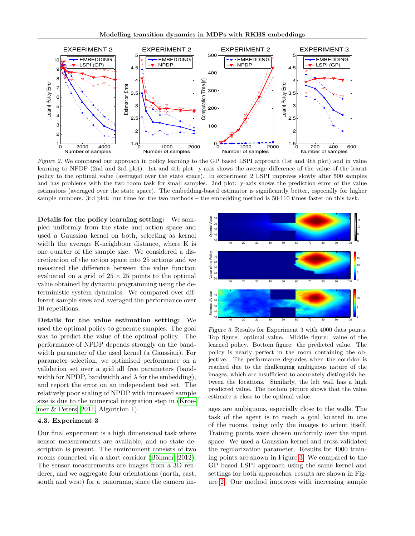

<span id="page-6-0"></span>Figure 2. We compared our approach in policy learning to the GP based LSPI approach (1st and 4th plot) and in value learning to NPDP (2nd and 3rd plot). 1st and 4th plot: y-axis shows the average difference of the value of the learnt policy to the optimal value (averaged over the state space). In experiment 2 LSPI improves slowly after 500 samples and has problems with the two room task for small samples. 2nd plot: y-axis shows the prediction error of the value estimators (averaged over the state space). The embedding-based estimator is significantly better, especially for higher sample numbers. 3rd plot: run time for the two methods – the embedding method is 50-110 times faster on this task.

Details for the policy learning setting: We sampled uniformly from the state and action space and used a Gaussian kernel on both, selecting as kernel width the average K-neighbour distance, where K is one quarter of the sample size. We considered a discretization of the action space into 25 actions and we measured the difference between the value function evaluated on a grid of  $25 \times 25$  points to the optimal value obtained by dynamic programming using the deterministic system dynamics. We compared over different sample sizes and averaged the performance over 10 repetitions.

Details for the value estimation setting: We used the optimal policy to generate samples. The goal was to predict the value of the optimal policy. The performance of NPDP depends strongly on the bandwidth parameter of the used kernel (a Gaussian). For parameter selection, we optimised performance on a validation set over a grid all free parameters (bandwidth for NPDP, bandwidth and  $\lambda$  for the embedding), and report the error on an independent test set. The relatively poor scaling of NPDP with increased sample size is due to the numerical integration step in [\(Kroe](#page-7-14)[mer & Peters, 2011,](#page-7-14) Algorithm 1). Details for the policy learning setting: We sam-<br>
gled uniformly from the state and action space and a<br>
gused a Gaussian kernel on both, selecting as kernel<br>
width the average K-neighbour distance, where K is<br>
one quarter

#### 4.3. Experiment 3

Our final experiment is a high dimensional task where sensor measurements are available, and no state description is present. The environment consists of two rooms connected via a short corridor (Böhmer, 2012). The sensor measurements are images from a 3D renderer, and we aggregate four orientations (north, east,



<span id="page-6-1"></span>Figure 3. Results for Experiment 3 with 4000 data points. Top figure: optimal value. Middle figure: value of the learned policy. Bottom figure: the predicted value. The policy is nearly perfect in the room containing the objective. The performance degrades when the corridor is reached due to the challenging ambiguous nature of the images, which are insufficient to accurately distinguish between the locations. Similarly, the left wall has a high predicted value. The bottom picture shows that the value estimate is close to the optimal value.

ages are ambiguous, especially close to the walls. The task of the agent is to reach a goal located in one of the rooms, using only the images to orient itself. Training points were chosen uniformly over the input space. We used a Gaussian kernel and cross-validated the regularization parameter. Results for 4000 training points are shown in Figure [3.](#page-6-1) We compared to the GP based LSPI approach using the same kernel and settings for both approaches; results are shown in Figure [2.](#page-6-0) Our method improves with increasing sample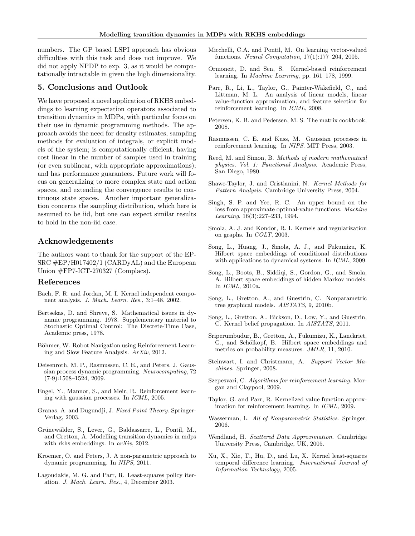numbers. The GP based LSPI approach has obvious difficulties with this task and does not improve. We did not apply NPDP to exp. 3, as it would be computationally intractable in given the high dimensionality.

# 5. Conclusions and Outlook

We have proposed a novel application of RKHS embeddings to learning expectation operators associated to transition dynamics in MDPs, with particular focus on their use in dynamic programming methods. The approach avoids the need for density estimates, sampling methods for evaluation of integrals, or explicit models of the system; is computationally efficient, having cost linear in the number of samples used in training (or even sublinear, with appropriate approximations); and has performance guarantees. Future work will focus on generalizing to more complex state and action spaces, and extending the convergence results to continuous state spaces. Another important generalization concerns the sampling distribution, which here is assumed to be iid, but one can expect similar results to hold in the non-iid case.

# Acknowledgements

The authors want to thank for the support of the EP-SRC #EP/H017402/1 (CARDyAL) and the European Union #FP7-ICT-270327 (Complacs).

# References

- <span id="page-7-24"></span>Bach, F. R. and Jordan, M. I. Kernel independent component analysis. J. Mach. Learn. Res., 3:1–48, 2002.
- <span id="page-7-19"></span>Bertsekas, D. and Shreve, S. Mathematical issues in dynamic programming. 1978. Supplementary material to Stochastic Optimal Control: The Discrete-Time Case, Academic press, 1978.
- <span id="page-7-23"></span>Böhmer, W. Robot Navigation using Reinforcement Learning and Slow Feature Analysis. ArXiv, 2012.
- <span id="page-7-12"></span>Deisenroth, M. P., Rasmussen, C. E., and Peters, J. Gaussian process dynamic programming. Neurocomputing, 72 (7-9):1508–1524, 2009.
- <span id="page-7-9"></span>Engel, Y., Mannor, S., and Meir, R. Reinforcement learning with gaussian processes. In ICML, 2005.
- <span id="page-7-18"></span>Granas, A. and Dugundji, J. Fixed Point Theory. Springer-Verlag, 2003.
- <span id="page-7-1"></span>Grünewälder, S., Lever, G., Baldassarre, L., Pontil, M., and Gretton, A. Modelling transition dynamics in mdps with rkhs embeddings. In  $arXiv$ , 2012.
- <span id="page-7-14"></span>Kroemer, O. and Peters, J. A non-parametric approach to dynamic programming. In NIPS, 2011.
- <span id="page-7-21"></span>Lagoudakis, M. G. and Parr, R. Least-squares policy iteration. J. Mach. Learn. Res., 4, December 2003.
- <span id="page-7-22"></span>Micchelli, C.A. and Pontil, M. On learning vector-valued functions. Neural Computation, 17(1):177–204, 2005.
- <span id="page-7-13"></span>Ormoneit, D. and Sen, S. Kernel-based reinforcement learning. In Machine Learning, pp. 161–178, 1999.
- <span id="page-7-15"></span>Parr, R., Li, L., Taylor, G., Painter-Wakefield, C., and Littman, M. L. An analysis of linear models, linear value-function approximation, and feature selection for reinforcement learning. In ICML, 2008.
- <span id="page-7-25"></span>Petersen, K. B. and Pedersen, M. S. The matrix cookbook, 2008.
- <span id="page-7-11"></span>Rasmussen, C. E. and Kuss, M. Gaussian processes in reinforcement learning. In NIPS. MIT Press, 2003.
- <span id="page-7-27"></span>Reed, M. and Simon, B. Methods of modern mathematical physics. Vol. 1: Functional Analysis. Academic Press, San Diego, 1980.
- <span id="page-7-20"></span>Shawe-Taylor, J. and Cristianini, N. Kernel Methods for Pattern Analysis. Cambridge University Press, 2004.
- <span id="page-7-2"></span>Singh, S. P. and Yee, R. C. An upper bound on the loss from approximate optimal-value functions. Machine Learning, 16(3):227–233, 1994.
- <span id="page-7-26"></span>Smola, A. J. and Kondor, R. I. Kernels and regularization on graphs. In COLT, 2003.
- <span id="page-7-4"></span>Song, L., Huang, J., Smola, A. J., and Fukumizu, K. Hilbert space embeddings of conditional distributions with applications to dynamical systems. In ICML, 2009.
- <span id="page-7-28"></span>Song, L., Boots, B., Siddiqi, S., Gordon, G., and Smola, A. Hilbert space embeddings of hidden Markov models. In ICML, 2010a.
- <span id="page-7-3"></span>Song, L., Gretton, A., and Guestrin, C. Nonparametric tree graphical models. AISTATS, 9, 2010b.
- <span id="page-7-5"></span>Song, L., Gretton, A., Bickson, D., Low, Y., and Guestrin, C. Kernel belief propagation. In AISTATS, 2011.
- <span id="page-7-17"></span>Sriperumbudur, B., Gretton, A., Fukumizu, K., Lanckriet, G., and Schölkopf, B. Hilbert space embeddings and metrics on probability measures. JMLR, 11, 2010.
- <span id="page-7-16"></span>Steinwart, I. and Christmann, A. Support Vector Machines. Springer, 2008.
- <span id="page-7-0"></span>Szepesvari, C. Algorithms for reinforcement learning. Morgan and Claypool, 2009.
- <span id="page-7-10"></span>Taylor, G. and Parr, R. Kernelized value function approximation for reinforcement learning. In ICML, 2009.
- <span id="page-7-6"></span>Wasserman, L. All of Nonparametric Statistics. Springer, 2006.
- <span id="page-7-7"></span>Wendland, H. Scattered Data Approximation. Cambridge University Press, Cambridge, UK, 2005.
- <span id="page-7-8"></span>Xu, X., Xie, T., Hu, D., and Lu, X. Kernel least-squares temporal difference learning. International Journal of Information Technology, 2005.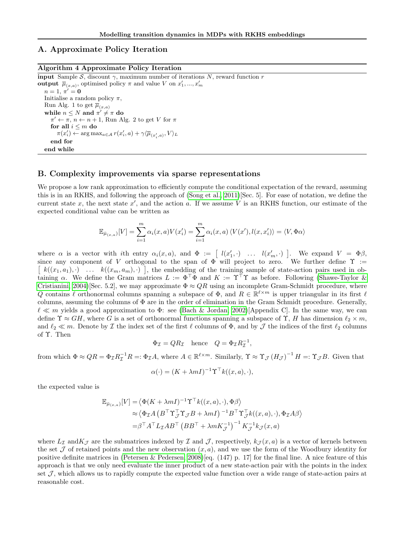# A. Approximate Policy Iteration

# Algorithm 4 Approximate Policy Iteration

**input** Sample S, discount  $\gamma$ , maximum number of iterations N, reward function r output  $\overline{\mu}_{(x,a)}$ , optimised policy  $\pi$  and value V on  $x'_1, ..., x'_m$  $n = 1, \pi' = 0$ Initialise a random policy  $\pi$ , Run Alg. 1 to get  $\overline{\mu}_{(x,a)}$ while  $n \leq N$  and  $\pi' \neq \pi$  do  $\pi' \leftarrow \pi$ ,  $n \leftarrow n + 1$ , Run Alg. 2 to get V for  $\pi$ for all  $i \leq m$  do  $\pi(x'_i) \leftarrow \arg \max_{a \in \mathcal{A}} r(x'_i, a) + \gamma \langle \overline{\mu}_{(x'_i, a)}, V \rangle_L$ end for end while

#### <span id="page-8-0"></span>B. Complexity improvements via sparse representations

We propose a low rank approximation to efficiently compute the conditional expectation of the reward, assuming this is in an RKHS, and following the approach of [\(Song et al., 2011\)](#page-7-5)[Sec. 5]. For ease of notation, we define the current state x, the next state  $x'$ , and the action a. If we assume V is an RKHS function, our estimate of the expected conditional value can be written as

$$
\mathbb{E}_{\bar{\mu}_{(x,a)}}[V] = \sum_{i=1}^m \alpha_i(x,a)V(x_i') = \sum_{i=1}^m \alpha_i(x,a)\langle V(x'),l(x,x_i')\rangle = \langle V,\Phi\alpha\rangle
$$

where  $\alpha$  is a vector with ith entry  $\alpha_i(x, a)$ , and  $\Phi := [l(x'_1, \cdot) \dots l(x'_m, \cdot)]$ . We expand  $V = \Phi \beta$ , since any component of V orthogonal to the span of  $\Phi$  will project to zero. We further define  $\Upsilon$  :=  $\begin{bmatrix} k((x_1, a_1), \cdot) & \dots & k((x_m, a_m), \cdot) \end{bmatrix}$ , the embedding of the training sample of state-action pairs used in obtaining  $\alpha$ . We define the Gram matrices  $L := \Phi^{\top} \Phi$  and  $K := \Upsilon^{\top} \Upsilon$  as before. Following [\(Shawe-Taylor &](#page-7-20) [Cristianini, 2004\)](#page-7-20)[Sec. 5.2], we may approximate  $\Phi \approx QR$  using an incomplete Gram-Schmidt procedure, where Q contains  $\ell$  orthonormal columns spanning a subspace of  $\Phi$ , and  $R \in \mathbb{R}^{\ell \times m}$  is upper triangular in its first  $\ell$ columns, assuming the columns of  $\Phi$  are in the order of elimination in the Gram Schmidt procedure. Generally,  $\ell \ll m$  yields a good approximation to  $\Phi$ : see [\(Bach & Jordan, 2002\)](#page-7-24)[Appendix C]. In the same way, we can define  $\Upsilon \approx GH$ , where G is a set of orthonormal functions spanning a subspace of  $\Upsilon$ , H has dimension  $\ell_2 \times m$ , and  $\ell_2 \ll m$ . Denote by I the index set of the first  $\ell$  columns of  $\Phi$ , and by J the indices of the first  $\ell_2$  columns of Υ. Then

$$
\Phi_{\mathcal{I}} = QR_{\mathcal{I}} \quad \text{hence} \quad Q = \Phi_{\mathcal{I}} R_{\mathcal{I}}^{-1},
$$

from which  $\Phi \approx QR = \Phi_{\mathcal{I}} R_{\mathcal{I}}^{-1} R =: \Phi_{\mathcal{I}} A$ , where  $A \in \mathbb{R}^{\ell \times m}$ . Similarly,  $\Upsilon \approx \Upsilon_{\mathcal{J}} (H_{\mathcal{J}})^{-1} H =: \Upsilon_{\mathcal{J}} B$ . Given that

$$
\alpha(\cdot) = (K + \lambda m I)^{-1} \Upsilon^{\top} k((x, a), \cdot),
$$

the expected value is

$$
\mathbb{E}_{\bar{\mu}_{(x,a)}}[V] = \langle \Phi(K + \lambda mI)^{-1} \Upsilon^{\top} k((x, a), \cdot), \Phi \beta \rangle
$$
  
\n
$$
\approx \langle \Phi_{\mathcal{I}} A \left( B^{\top} \Upsilon_{\mathcal{J}}^{\top} \Upsilon_{\mathcal{J}} B + \lambda mI \right)^{-1} B^{\top} \Upsilon_{\mathcal{J}}^{\top} k((x, a), \cdot), \Phi_{\mathcal{I}} A \beta \rangle
$$
  
\n
$$
= \beta^{\top} A^{\top} L_{\mathcal{I}} A B^{\top} \left( B B^{\top} + \lambda m K_{\mathcal{J}}^{-1} \right)^{-1} K_{\mathcal{J}}^{-1} k_{\mathcal{J}}(x, a)
$$

where  $L_{\mathcal{I}}$  and  $K_{\mathcal{J}}$  are the submatrices indexed by  $\mathcal{I}$  and  $\mathcal{J}$ , respectively,  $k_{\mathcal{J}}(x, a)$  is a vector of kernels between the set  $J$  of retained points and the new observation  $(x, a)$ , and we use the form of the Woodbury identity for positive definite matrices in [\(Petersen & Pedersen, 2008\)](#page-7-25)[eq. (147) p. 17] for the final line. A nice feature of this approach is that we only need evaluate the inner product of a new state-action pair with the points in the index set  $\mathcal{J}$ , which allows us to rapidly compute the expected value function over a wide range of state-action pairs at reasonable cost.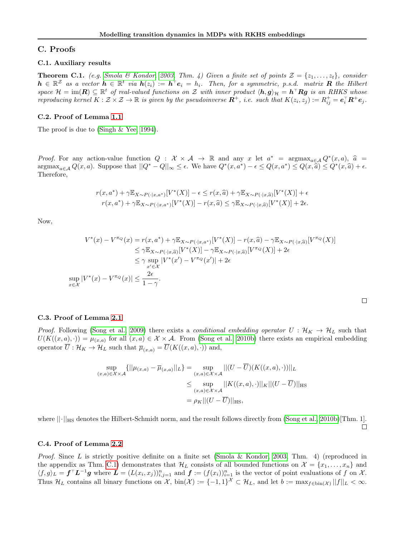# C. Proofs

### C.1. Auxiliary results

<span id="page-9-0"></span>**Theorem C.1.** (e.g. [Smola & Kondor, 2003,](#page-7-26) Thm. 4) Given a finite set of points  $\mathcal{Z} = \{z_1, \ldots, z_t\}$ , consider  $h \in \mathbb{R}^Z$  as a vector  $h \in \mathbb{R}^t$  via  $h(z_i) := h^{\top} e_i = h_i$ . Then, for a symmetric, p.s.d. matrix R the Hilbert space  $\mathcal{H} = \text{im}(\mathbf{R}) \subseteq \mathbb{R}^t$  of real-valued functions on Z with inner product  $\langle \mathbf{h}, \mathbf{g} \rangle_{\mathcal{H}} = \mathbf{h}^\top \mathbf{R} \mathbf{g}$  is an RHKS whose reproducing kernel  $K : \mathcal{Z} \times \mathcal{Z} \to \mathbb{R}$  is given by the pseudoinverse  $\mathbf{R}^+$ , i.e. such that  $K(z_i, z_j) := R^+_{ij} = \mathbf{e}_i^{\top} \mathbf{R}^+ \mathbf{e}_j$ .

#### C.2. Proof of Lemma [1.1](#page-1-1)

The proof is due to [\(Singh & Yee, 1994\)](#page-7-2).

Proof. For any action-value function  $Q : \mathcal{X} \times \mathcal{A} \to \mathbb{R}$  and any x let  $a^* = \operatorname{argmax}_{a \in \mathcal{A}} Q^*(x, a)$ ,  $\hat{a} = \operatorname{argmax}_{\alpha \in \mathcal{A}} Q^*(x, a)$ . Suppose that  $||Q^* - Q|| \leq \epsilon$ . We have  $Q^*(x, a^*) = \epsilon \leq Q(x, a^*) \leq Q(x, a) \leq Q^*(x, a) + \$  $\operatorname*{argmax}_{a \in \mathcal{A}} Q(x, a)$ . Suppose that  $||Q^* - Q||_{\infty} \leq \epsilon$ . We have  $Q^*(x, a^*) - \epsilon \leq Q(x, a^*) \leq Q(x, \widetilde{a}) \leq Q^*(x, \widehat{a}) + \epsilon$ .<br>Therefore Therefore,

$$
r(x, a^*) + \gamma \mathbb{E}_{X \sim P(\cdot | x, a^*)}[V^*(X)] - \epsilon \le r(x, \widehat{a}) + \gamma \mathbb{E}_{X \sim P(\cdot | x, \widehat{a})}[V^*(X)] + \epsilon
$$
  

$$
r(x, a^*) + \gamma \mathbb{E}_{X \sim P(\cdot | x, a^*)}[V^*(X)] - r(x, \widehat{a}) \le \gamma \mathbb{E}_{X \sim P(\cdot | x, \widehat{a})}[V^*(X)] + 2\epsilon.
$$

Now,

$$
V^*(x) - V^{\pi_Q}(x) = r(x, a^*) + \gamma \mathbb{E}_{X \sim P(\cdot | x, a^*)}[V^*(X)] - r(x, \widehat{a}) - \gamma \mathbb{E}_{X \sim P(\cdot | x, \widehat{a})}[V^{\pi_Q}(X)]
$$
  
\n
$$
\leq \gamma \mathbb{E}_{X \sim P(\cdot | x, \widehat{a})}[V^*(X)] - \gamma \mathbb{E}_{X \sim P(\cdot | x, \widehat{a})}[V^{\pi_Q}(X)] + 2\epsilon
$$
  
\n
$$
\leq \gamma \sup_{x' \in \mathcal{X}} |V^*(x') - V^{\pi_Q}(x')| + 2\epsilon
$$
  
\n
$$
\sup_{x \in \mathcal{X}} |V^*(x) - V^{\pi_Q}(x)| \leq \frac{2\epsilon}{1 - \gamma}.
$$

#### C.3. Proof of Lemma [2.1](#page-2-4)

*Proof.* Following [\(Song et al., 2009\)](#page-7-4) there exists a *conditional embedding operator*  $U : \mathcal{H}_K \to \mathcal{H}_L$  such that  $U(K((x,a),\cdot)) = \mu_{(x,a)}$  for all  $(x,a) \in \mathcal{X} \times \mathcal{A}$ . From [\(Song et al., 2010b\)](#page-7-3) there exists an empirical embedding operator  $\overline{U} : \mathcal{H}_K \to \mathcal{H}_L$  such that  $\overline{\mu}_{(x,a)} = \overline{U}(K((x,a), \cdot))$  and,

$$
\sup_{(x,a)\in\mathcal{X}\times\mathcal{A}} \{||\mu_{(x,a)} - \overline{\mu}_{(x,a)}||_L\} = \sup_{(x,a)\in\mathcal{X}\times\mathcal{A}}||(U - \overline{U})(K((x,a),\cdot))||_L
$$
  

$$
\leq \sup_{(x,a)\in\mathcal{X}\times\mathcal{A}}||K((x,a),\cdot)||_K||(U - \overline{U})||_{{\rm HS}}
$$
  

$$
= \rho_K||(U - \overline{U})||_{{\rm HS}},
$$

where  $\lVert \cdot \rVert_{\text{HS}}$  denotes the Hilbert-Schmidt norm, and the result follows directly from [\(Song et al., 2010b\)](#page-7-3)[Thm. 1].  $\Box$ 

#### C.4. Proof of Lemma [2.2](#page-3-3)

*Proof.* Since L is strictly positive definite on a finite set [\(Smola & Kondor, 2003,](#page-7-26) Thm. 4) (reproduced in the appendix as Thm. [C.1\)](#page-9-0) demonstrates that  $\mathcal{H}_L$  consists of all bounded functions on  $\mathcal{X} = \{x_1, \ldots, x_n\}$  and  $\langle f,g\rangle_L = \boldsymbol{f}^\top \boldsymbol{L}^{-1} \boldsymbol{g}$  where  $\boldsymbol{L} = (L(x_i, x_j))_{i,j=1}^n$  and  $\boldsymbol{f} := (f(x_i))_{i=1}^n$  is the vector of point evaluations of f on X. Thus  $\mathcal{H}_L$  contains all binary functions on X,  $\text{bin}(\mathcal{X}) := \{-1,1\}^\mathcal{X} \subset \mathcal{H}_L$ , and let  $b := \max_{f \in \text{bin}(\mathcal{X})} ||f||_L < \infty$ .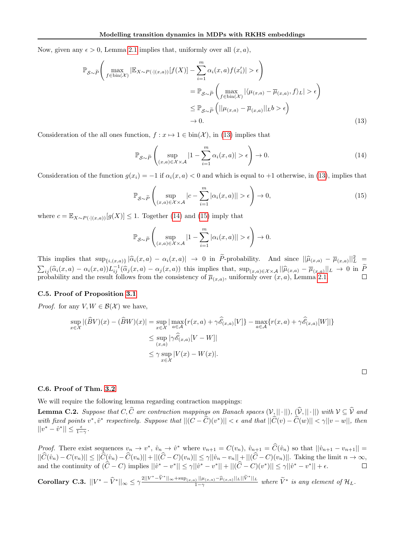Now, given any  $\epsilon > 0$ , Lemma [2.1](#page-2-4) implies that, uniformly over all  $(x, a)$ ,

$$
\mathbb{P}_{\mathcal{S}\sim\widetilde{P}}\left(\max_{f\in\text{bin}(\mathcal{X})}|\mathbb{E}_{X\sim P(\cdot|(x,a))}[f(X)] - \sum_{i=1}^{m}\alpha_i(x,a)f(x_i')| > \epsilon\right)
$$
  
\n
$$
= \mathbb{P}_{\mathcal{S}\sim\widetilde{P}}\left(\max_{f\in\text{bin}(\mathcal{X})}|\langle\mu_{(x,a)} - \overline{\mu}_{(x,a)},f\rangle_L| > \epsilon\right)
$$
  
\n
$$
\leq \mathbb{P}_{\mathcal{S}\sim\widetilde{P}}\left(||\mu_{(x,a)} - \overline{\mu}_{(x,a)}||_Lb > \epsilon\right)
$$
  
\n
$$
\to 0.
$$
\n(13)

Consideration of the all ones function,  $f: x \mapsto 1 \in \text{bin}(\mathcal{X})$ , in [\(13\)](#page-10-0) implies that

<span id="page-10-0"></span>
$$
\mathbb{P}_{\mathcal{S}\sim\widetilde{P}}\left(\sup_{(x,a)\in\mathcal{X}\times\mathcal{A}}|1-\sum_{i=1}^{m}\alpha_i(x,a)|>\epsilon\right)\to 0.
$$
\n(14)

Consideration of the function  $g(x_i) = -1$  if  $\alpha_i(x, a) < 0$  and which is equal to +1 otherwise, in [\(13\)](#page-10-0), implies that

$$
\mathbb{P}_{\mathcal{S}\sim\widetilde{P}}\left(\sup_{(x,a)\in\mathcal{X}\times\mathcal{A}}|c-\sum_{i=1}^{m}|\alpha_i(x,a)||>\epsilon\right)\to 0,
$$
\n(15)

where  $c = \mathbb{E}_{X \sim P(\cdot | (x,a))}[g(X)] \leq 1$ . Together [\(14\)](#page-10-1) and [\(15\)](#page-10-2) imply that

$$
\mathbb{P}_{\mathcal{S}\sim\widetilde{P}}\left(\sup_{(x,a)\in\mathcal{X}\times\mathcal{A}}|1-\sum_{i=1}^m|\alpha_i(x,a)||>\epsilon\right)\to 0.
$$

This implies that  $\sup_{\{i,(x,a)\}}|\widehat{\alpha}_i(x,a) - \alpha_i(x,a)| \to 0$  in P-probability. And since  $||\widehat{\mu}_{(x,a)} - \overline{\mu}_{(x,a)}||_L^2 =$  $\sum_{i,j} (\hat{\alpha}_i(x, a) - \alpha_i(x, a)) L_{ij}^{-1} (\hat{\alpha}_j(x, a) - \alpha_j(x, a))$  this implies that,  $\sup_{(x, a) \in \mathcal{X} \times \mathcal{A}} ||\hat{\mu}(x, a) - \overline{\mu}(x, a)||_L \to 0$  in  $\widetilde{P}$ probability and the result follows from the consistency of  $\overline{\mu}_{(x,a)}$ , uniformly over  $(x, a)$ , Lemma [2.1.](#page-2-4)

# C.5. Proof of Proposition [3.1](#page-3-6)

*Proof.* for any  $V, W \in \mathcal{B}(\mathcal{X})$  we have,

$$
\sup_{x \in \mathcal{X}} |(\widehat{B}V)(x) - (\widehat{B}W)(x)| = \sup_{x \in \mathcal{X}} \left| \max_{a \in \mathcal{A}} \{r(x, a) + \gamma \widehat{\mathscr{E}}_{(x, a)}[V] \} - \max_{a \in \mathcal{A}} \{r(x, a) + \gamma \widehat{\mathscr{E}}_{(x, a)}[W] \} \right|
$$
  

$$
\leq \sup_{(x, a)} |\gamma \widehat{\mathscr{E}}_{(x, a)}[V - W]|
$$
  

$$
\leq \gamma \sup_{x \in \mathcal{X}} |V(x) - W(x)|.
$$

<span id="page-10-2"></span><span id="page-10-1"></span> $\Box$ 

### C.6. Proof of Thm. [3.2](#page-4-0)

We will require the following lemma regarding contraction mappings:

<span id="page-10-3"></span>**Lemma C.2.** Suppose that  $C, C$  are contraction mappings on Banach spaces  $(V, || \cdot ||), (V, || \cdot ||)$  with  $V \subseteq V$  and with fixed points  $v^*, \hat{v}^*$  respectively. Suppose that  $||(C - \widehat{C})(v^*)|| < \epsilon$  and that  $||\widehat{C}(v) - \widehat{C}(w)|| < \gamma ||v - w||$ , then  $||v^* - \hat{v}^*|| \leq \frac{\epsilon}{1-\gamma}.$ 

*Proof.* There exist sequences  $v_n \to v^*$ ,  $\hat{v}_n \to \hat{v}^*$  where  $v_{n+1} = C(v_n)$ ,  $\hat{v}_{n+1} = \hat{C}(\hat{v}_n)$  so that  $||\hat{v}_{n+1} - v_{n+1}|| =$  $||C(\hat{v}_n) - C(v_n)|| \le ||C(\hat{v}_n) - C(v_n)|| + ||(C-C)(v_n)|| \le \gamma ||\hat{v}_n - v_n|| + ||(C-C)(v_n)||$ . Taking the limit  $n \to \infty$ , and the continuity of  $(\hat{C} - C)$  implies  $||\hat{v}^* - v^*|| \leq \gamma ||\hat{v}^* - v^*|| + ||(\hat{C} - C)(v^*)|| \leq \gamma ||\hat{v}^* - v^*|| + \epsilon$ .

<span id="page-10-4"></span> $\textbf{Corollary C.3.}~~||V^* - \widehat{V}^*||_{\infty} \leq \gamma \frac{2||V^* - \widetilde{V}^*||_{\infty} + \sup_{(x,a)} ||\mu_{(x,a)} - \widehat{\mu}_{(x,a)} ||_L ||\widetilde{V}^*||_L}{1 - \gamma}$  $\frac{1-\mu(x,a)-\mu(x,a)\|L\|V\|L}{1-\gamma}$  where  $\widetilde{V}^*$  is any element of  $\mathcal{H}_L$ .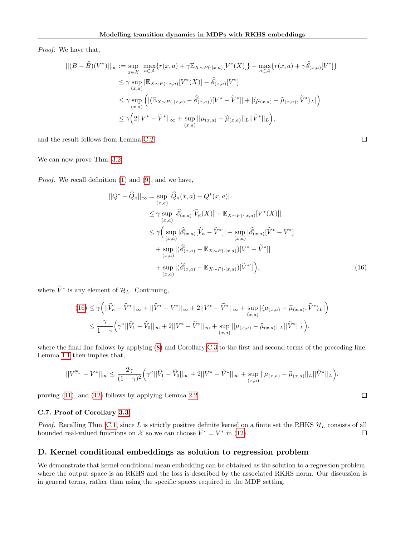Proof. We have that,

$$
\begin{split} ||(B-\widehat{B})(V^*)||_{\infty} &:= \sup_{x \in \mathcal{X}} \left| \max_{a \in \mathcal{A}} \{r(x,a) + \gamma \mathbb{E}_{X \sim P(\cdot|x,a)}[V^*(X)]\} - \max_{a \in \mathcal{A}} \{r(x,a) + \gamma \widehat{\mathscr{E}}_{(x,a)}[V^*]\} \right| \\ &\leq \gamma \sup_{(x,a)} \left| \mathbb{E}_{X \sim P(\cdot|x,a)}[V^*(X)] - \widehat{\mathscr{E}}_{(x,a)}[V^*]\right| \\ &\leq \gamma \sup_{(x,a)} \left( |(\mathbb{E}_{X \sim P(\cdot|x,a)} - \widehat{\mathscr{E}}_{(x,a)})[V^* - \widetilde{V}^*]| + |\langle \mu_{(x,a)} - \widehat{\mu}_{(x,a)}, \widetilde{V}^* \rangle_L| \right) \\ &\leq \gamma \left( 2||V^* - \widetilde{V}^*||_{\infty} + \sup_{(x,a)} ||\mu_{(x,a)} - \widehat{\mu}_{(x,a)}||_L ||\widetilde{V}^*||_L \right), \end{split}
$$

and the result follows from Lemma [C.2.](#page-10-3)

We can now prove Thm. [3.2:](#page-4-0)

Proof. We recall definition [\(1\)](#page-0-1) and [\(9\)](#page-4-3), and we have,

$$
||Q^* - \widehat{Q}_{\kappa}||_{\infty} = \sup_{(x,a)} |\widehat{Q}_{\kappa}(x,a) - Q^*(x,a)|
$$
  
\n
$$
\leq \gamma \sup_{(x,a)} |\widehat{\mathscr{E}}_{(x,a)}[\widehat{V}_{\kappa}(X)] - \mathbb{E}_{X \sim P(\cdot|x,a)}[V^*(X)]|
$$
  
\n
$$
\leq \gamma \Big( \sup_{(x,a)} |\widehat{\mathscr{E}}_{(x,a)}[\widehat{V}_{\kappa} - \widehat{V}^*]| + \sup_{(x,a)} |\widehat{\mathscr{E}}_{(x,a)}[\widehat{V}^* - V^*]|
$$
  
\n
$$
+ \sup_{(x,a)} |(\widehat{\mathscr{E}}_{(x,a)} - \mathbb{E}_{X \sim P(\cdot|x,a)})[V^* - \widetilde{V}^*]|
$$
  
\n
$$
+ \sup_{(x,a)} |(\widehat{\mathscr{E}}_{(x,a)} - \mathbb{E}_{X \sim P(\cdot|x,a)})[\widetilde{V}^*]| \Big), \qquad (16)
$$

where  $\tilde{V}^*$  is any element of  $\mathcal{H}_L$ . Continuing,

$$
(16) \leq \gamma \Big( ||\widehat{V}_{\kappa} - \widehat{V}^*||_{\infty} + ||\widehat{V}^* - V^*||_{\infty} + 2||V^* - \widetilde{V}^*||_{\infty} + \sup_{(x,a)} |\langle \mu_{(x,a)} - \widehat{\mu}_{(x,a)}, \widetilde{V}^* \rangle_L| \Big) \leq \frac{\gamma}{1 - \gamma} \Big( \gamma^{\kappa} ||\widehat{V}_1 - \widehat{V}_0||_{\infty} + 2||V^* - \widetilde{V}^*||_{\infty} + \sup_{(x,a)} ||\mu_{(x,a)} - \widehat{\mu}_{(x,a)}||_L ||\widetilde{V}^*||_L \Big),
$$

where the final line follows by applying  $(8)$  and Corollary [C.3](#page-10-4) to the first and second terms of the preceding line. Lemma [1.1](#page-1-1) then implies that,

$$
||V^{\widehat{\pi}_{\kappa}} - V^*||_{\infty} \le \frac{2\gamma}{(1-\gamma)^2} \Big(\gamma^{\kappa}||\widehat{V}_1 - \widehat{V}_0||_{\infty} + 2||V^* - \widetilde{V}^*||_{\infty} + \sup_{(x,a)} ||\mu_{(x,a)} - \widehat{\mu}_{(x,a)}||_L||\widetilde{V}^*||_L\Big),
$$

proving [\(11\)](#page-4-4), and [\(12\)](#page-4-7) follows by applying Lemma [2.2.](#page-3-3)

# C.7. Proof of Corollary [3.3](#page-4-1)

*Proof.* Recalling Thm. [C.1,](#page-9-0) since L is strictly positive definite kernel on a finite set the RHKS  $\mathcal{H}_L$  consists of all bounded real-valued functions on X so we can choose  $\tilde{V}^* = V^*$  in [\(12\)](#page-4-7).

# <span id="page-11-0"></span>D. Kernel conditional embeddings as solution to regression problem

We demonstrate that kernel conditional mean embedding can be obtained as the solution to a regression problem, where the output space is an RKHS and the loss is described by the associated RKHS norm. Our discussion is in general terms, rather than using the specific spaces required in the MDP setting.

<span id="page-11-1"></span> $\Box$ 

 $\Box$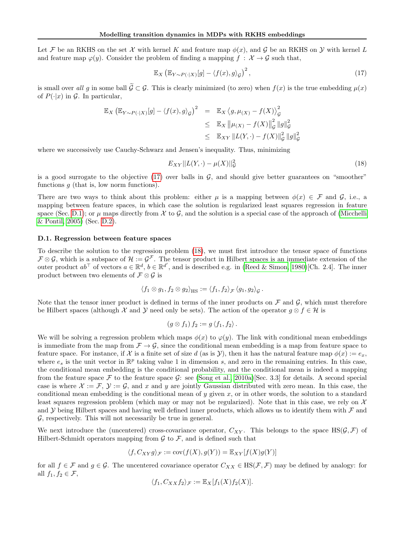Let F be an RKHS on the set X with kernel K and feature map  $\phi(x)$ , and G be an RKHS on Y with kernel L and feature map  $\varphi(y)$ . Consider the problem of finding a mapping  $f : \mathcal{X} \to \mathcal{G}$  such that,

<span id="page-12-1"></span>
$$
\mathbb{E}_X \left( \mathbb{E}_{Y \sim P(\cdot | X)}[g] - \langle f(x), g \rangle_{\mathcal{G}} \right)^2, \tag{17}
$$

is small over all g in some ball  $\tilde{\mathcal{G}} \subset \mathcal{G}$ . This is clearly minimized (to zero) when  $f(x)$  is the true embedding  $\mu(x)$ of  $P(\cdot|x)$  in  $\mathcal G$ . In particular,

$$
\mathbb{E}_X \left( \mathbb{E}_{Y \sim P(\cdot | X)}[g] - \langle f(x), g \rangle_{\mathcal{G}} \right)^2 = \mathbb{E}_X \left\langle g, \mu_{(X)} - f(X) \right\rangle_{\mathcal{G}}^2
$$
  
\n
$$
\leq \mathbb{E}_X ||\mu_{(X)} - f(X)||_{\mathcal{G}}^2 ||g||_{\mathcal{G}}^2
$$
  
\n
$$
\leq \mathbb{E}_{XY} ||L(Y, \cdot) - f(X)||_{\mathcal{G}}^2 ||g||_{\mathcal{G}}^2
$$

where we successively use Cauchy-Schwarz and Jensen's inequality. Thus, minimizing

<span id="page-12-2"></span>
$$
E_{XY}||L(Y, \cdot) - \mu(X)||_{\mathcal{G}}^{2}
$$
\n(18)

is a good surrogate to the objective  $(17)$  over balls in  $\mathcal{G}$ , and should give better guarantees on "smoother" functions  $g$  (that is, low norm functions).

There are two ways to think about this problem: either  $\mu$  is a mapping between  $\phi(x) \in \mathcal{F}$  and  $\mathcal{G}$ , i.e., a mapping between feature spaces, in which case the solution is regularized least squares regression in feature space (Sec. [D.1\)](#page-12-0); or  $\mu$  maps directly from X to G, and the solution is a special case of the approach of [\(Micchelli](#page-7-22) [& Pontil, 2005\)](#page-7-22) (Sec. [D.2\)](#page-13-0).

#### <span id="page-12-0"></span>D.1. Regression between feature spaces

To describe the solution to the regression problem [\(18\)](#page-12-2), we must first introduce the tensor space of functions  $\mathcal{F} \otimes \mathcal{G}$ , which is a subspace of  $\mathcal{H} := \mathcal{G}^{\mathcal{F}}$ . The tensor product in Hilbert spaces is an immediate extension of the outer product  $ab^{\top}$  of vectors  $a \in \mathbb{R}^d$ ,  $b \in \mathbb{R}^{d'}$ , and is described e.g. in [\(Reed & Simon, 1980\)](#page-7-27)[Ch. 2.4]. The inner product between two elements of  $\mathcal{F} \otimes \mathcal{G}$  is

$$
\langle f_1 \otimes g_1, f_2 \otimes g_2 \rangle_{\text{HS}} := \langle f_1, f_2 \rangle_{\mathcal{F}} \langle g_1, g_2 \rangle_{\mathcal{G}}.
$$

Note that the tensor inner product is defined in terms of the inner products on  $\mathcal F$  and  $\mathcal G$ , which must therefore be Hilbert spaces (although X and Y need only be sets). The action of the operator  $q \otimes f \in \mathcal{H}$  is

$$
(g \otimes f_1) f_2 := g \langle f_1, f_2 \rangle.
$$

We will be solving a regression problem which maps  $\phi(x)$  to  $\varphi(y)$ . The link with conditional mean embeddings is immediate from the map from  $\mathcal{F} \to \mathcal{G}$ , since the conditional mean embedding is a map from feature space to feature space. For instance, if X is a finite set of size d (as is Y), then it has the natural feature map  $\phi(x) := e_x$ , where  $e_s$  is the unit vector in  $\mathbb{R}^p$  taking value 1 in dimension s, and zero in the remaining entries. In this case, the conditional mean embedding is the conditional probability, and the conditional mean is indeed a mapping from the feature space F to the feature space G: see [\(Song et al., 2010a\)](#page-7-28)[Sec. 3.3] for details. A second special case is where  $\mathcal{X} := \mathcal{F}, \mathcal{Y} := \mathcal{G}$ , and x and y are jointly Gaussian distributed with zero mean. In this case, the conditional mean embedding is the conditional mean of  $y$  given  $x$ , or in other words, the solution to a standard least squares regression problem (which may or may not be regularized). Note that in this case, we rely on  $\mathcal X$ and Y being Hilbert spaces and having well defined inner products, which allows us to identify them with  $\mathcal F$  and  $\mathcal G$ , respectively. This will not necessarily be true in general.

We next introduce the (uncentered) cross-covariance operator,  $C_{XY}$ . This belongs to the space HS( $(\mathcal{G}, \mathcal{F})$ ) of Hilbert-Schmidt operators mapping from  $\mathcal G$  to  $\mathcal F$ , and is defined such that

$$
\langle f, C_{XY}g \rangle_{\mathcal{F}} := \text{cov}(f(X), g(Y)) = \mathbb{E}_{XY}[f(X)g(Y)]
$$

for all  $f \in \mathcal{F}$  and  $g \in \mathcal{G}$ . The uncentered covariance operator  $C_{XX} \in \text{HS}(\mathcal{F}, \mathcal{F})$  may be defined by analogy: for all  $f_1, f_2 \in \mathcal{F}$ ,

$$
\langle f_1, C_{XX} f_2 \rangle_{\mathcal{F}} := \mathbb{E}_X[f_1(X) f_2(X)].
$$